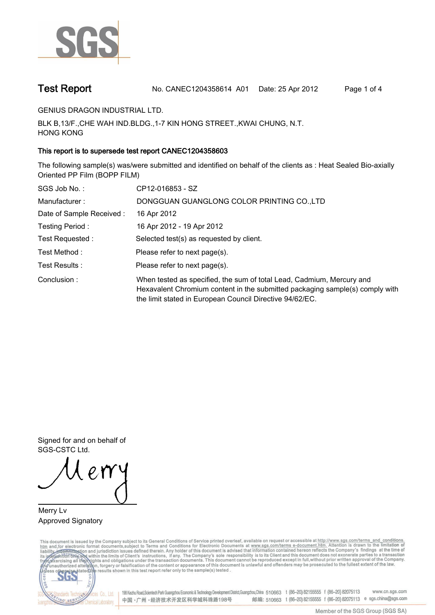

**Test Report. No. CANEC1204358614 A01 Date: 25 Apr 2012. Page 1 of 4.**

**GENIUS DRAGON INDUSTRIAL LTD..**

**BLK B,13/F.,CHE WAH IND.BLDG.,1-7 KIN HONG STREET.,KWAI CHUNG, N.T. HONG KONG.**

## **This report is to supersede test report CANEC1204358603.**

**The following sample(s) was/were submitted and identified on behalf of the clients as : Heat Sealed Bio-axially Oriented PP Film (BOPP FILM).**

| SGS Job No.:             | CP12-016853 - SZ                                                                                                                                                                                                  |  |  |  |  |
|--------------------------|-------------------------------------------------------------------------------------------------------------------------------------------------------------------------------------------------------------------|--|--|--|--|
| Manufacturer:            | DONGGUAN GUANGLONG COLOR PRINTING CO.,LTD                                                                                                                                                                         |  |  |  |  |
| Date of Sample Received: | 16 Apr 2012                                                                                                                                                                                                       |  |  |  |  |
| Testing Period:          | 16 Apr 2012 - 19 Apr 2012                                                                                                                                                                                         |  |  |  |  |
| Test Requested :         | Selected test(s) as requested by client.                                                                                                                                                                          |  |  |  |  |
| Test Method :            | Please refer to next page(s).                                                                                                                                                                                     |  |  |  |  |
| Test Results :           | Please refer to next page(s).                                                                                                                                                                                     |  |  |  |  |
| Conclusion:              | When tested as specified, the sum of total Lead, Cadmium, Mercury and<br>Hexavalent Chromium content in the submitted packaging sample(s) comply with<br>the limit stated in European Council Directive 94/62/EC. |  |  |  |  |

**Signed for and on behalf of SGS-CSTC Ltd..**

**Merry Lv. Approved Signatory.**

This document is issued by the Company subject to its General Conditions of Service printed overleaf, available on request or accessible at http://www.sgs.com/terms\_and\_conditions.<br>htm\_and, for electronic format documents,



198 Kezhu Road,Scientech Park Guangzhou Economic & Technology Development District,Guangzhou,China 510663 t (86-20) 82155555 f (86-20) 82075113 www.cn.sgs.com 邮编: 510663 t (86-20) 82155555 f (86-20) 82075113 e sgs.china@sgs.com 中国·广州·经济技术开发区科学城科珠路198号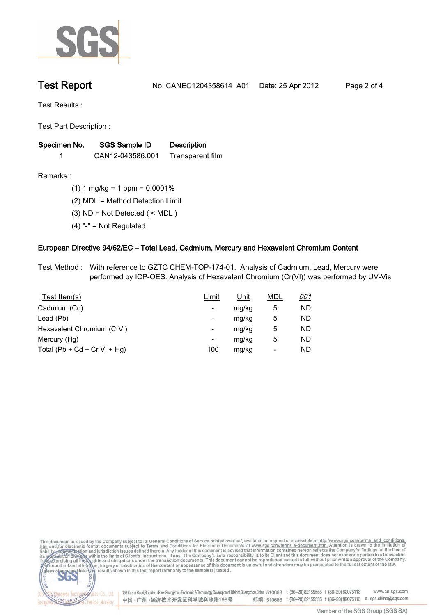

**Test Report. No. CANEC1204358614 A01 Date: 25 Apr 2012. Page 2 of 4.**

**Test Results :.**

**Test Part Description :.**

| Specimen No. | SGS Sample ID    | <b>Description</b> |  |
|--------------|------------------|--------------------|--|
|              | CAN12-043586.001 | Transparent film   |  |

NG SER

Chemical Laboratory.

**Remarks :.(1) 1 mg/kg = 1 ppm = 0.0001%.**

**(2) MDL = Method Detection Limit.**

**(3) ND = Not Detected ( < MDL ).**

**(4) "-" = Not Regulated.**

### **European Directive 94/62/EC – Total Lead, Cadmium, Mercury and Hexavalent Chromium Content.**

**Test Method :. With reference to GZTC CHEM-TOP-174-01. Analysis of Cadmium, Lead, Mercury were performed by ICP-OES. Analysis of Hexavalent Chromium (Cr(VI)) was performed by UV-Vis.**

| Test Item(s)                 | Limit | <u>Unit</u> | <b>MDL</b> | <u>001</u> |
|------------------------------|-------|-------------|------------|------------|
| Cadmium (Cd)                 | -     | mg/kg       | 5          | ND         |
| Lead (Pb)                    | -     | mg/kg       | 5          | ND         |
| Hexavalent Chromium (CrVI)   | -     | mg/kg       | 5          | ND         |
| Mercury (Hg)                 | -     | mg/kg       | 5          | ND         |
| Total (Pb + Cd + Cr VI + Hg) | 100   | mg/kg       | -          | ND         |

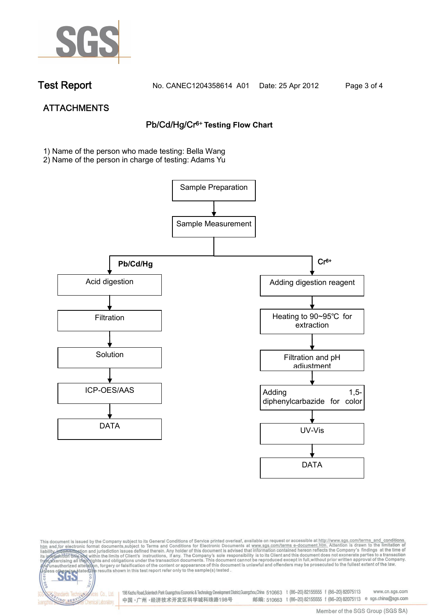

NG SER

**Chemical Laboratory.** 

**Test Report. No. CANEC1204358614 A01 Date: 25 Apr 2012. Page 3 of 4.**

# **ATTACHMENTS Pb/Cd/Hg/Cr6+ Testing Flow Chart**

**1)** Name of the person who made testing: Bella Wang

2) Name of the person in charge of testing: Adams Yu